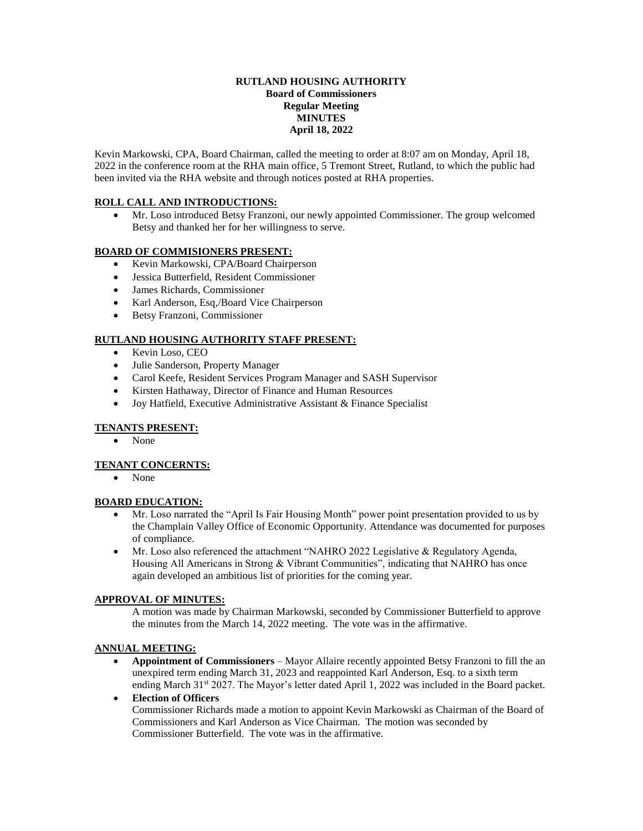#### **RUTLAND HOUSING AUTHORITY Board of Commissioners Regular Meeting MINUTES April 18, 2022**

Kevin Markowski, CPA, Board Chairman, called the meeting to order at 8:07 am on Monday, April 18, 2022 in the conference room at the RHA main office, 5 Tremont Street, Rutland, to which the public had been invited via the RHA website and through notices posted at RHA properties.

## **ROLL CALL AND INTRODUCTIONS:**

 Mr. Loso introduced Betsy Franzoni, our newly appointed Commissioner. The group welcomed Betsy and thanked her for her willingness to serve.

# **BOARD OF COMMISIONERS PRESENT:**

- Kevin Markowski, CPA/Board Chairperson
- Jessica Butterfield, Resident Commissioner
- James Richards, Commissioner
- Karl Anderson, Esq./Board Vice Chairperson
- Betsy Franzoni, Commissioner

# **RUTLAND HOUSING AUTHORITY STAFF PRESENT:**

- Kevin Loso, CEO
- Julie Sanderson, Property Manager
- Carol Keefe, Resident Services Program Manager and SASH Supervisor
- Kirsten Hathaway, Director of Finance and Human Resources
- $\bullet$  Joy Hatfield, Executive Administrative Assistant & Finance Specialist

# **TENANTS PRESENT:**

None

## **TENANT CONCERNTS:**

None

## **BOARD EDUCATION:**

- Mr. Loso narrated the "April Is Fair Housing Month" power point presentation provided to us by the Champlain Valley Office of Economic Opportunity. Attendance was documented for purposes of compliance.
- Mr. Loso also referenced the attachment "NAHRO 2022 Legislative & Regulatory Agenda, Housing All Americans in Strong & Vibrant Communities", indicating that NAHRO has once again developed an ambitious list of priorities for the coming year.

# **APPROVAL OF MINUTES:**

A motion was made by Chairman Markowski, seconded by Commissioner Butterfield to approve the minutes from the March 14, 2022 meeting. The vote was in the affirmative.

## **ANNUAL MEETING:**

 **Appointment of Commissioners** – Mayor Allaire recently appointed Betsy Franzoni to fill the an unexpired term ending March 31, 2023 and reappointed Karl Anderson, Esq. to a sixth term ending March 31<sup>st</sup> 2027. The Mayor's letter dated April 1, 2022 was included in the Board packet.

## **Election of Officers**

Commissioner Richards made a motion to appoint Kevin Markowski as Chairman of the Board of Commissioners and Karl Anderson as Vice Chairman. The motion was seconded by Commissioner Butterfield. The vote was in the affirmative.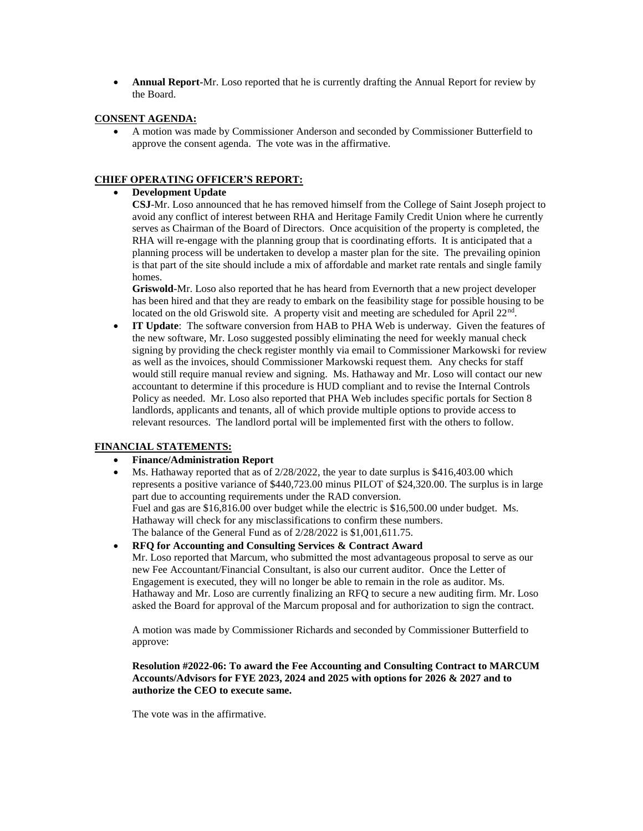**Annual Report-**Mr. Loso reported that he is currently drafting the Annual Report for review by the Board.

#### **CONSENT AGENDA:**

 A motion was made by Commissioner Anderson and seconded by Commissioner Butterfield to approve the consent agenda. The vote was in the affirmative.

## **CHIEF OPERATING OFFICER'S REPORT:**

**Development Update**

**CSJ**-Mr. Loso announced that he has removed himself from the College of Saint Joseph project to avoid any conflict of interest between RHA and Heritage Family Credit Union where he currently serves as Chairman of the Board of Directors. Once acquisition of the property is completed, the RHA will re-engage with the planning group that is coordinating efforts. It is anticipated that a planning process will be undertaken to develop a master plan for the site. The prevailing opinion is that part of the site should include a mix of affordable and market rate rentals and single family homes.

**Griswold**-Mr. Loso also reported that he has heard from Evernorth that a new project developer has been hired and that they are ready to embark on the feasibility stage for possible housing to be located on the old Griswold site. A property visit and meeting are scheduled for April 22<sup>nd</sup>.

 **IT Update**: The software conversion from HAB to PHA Web is underway. Given the features of the new software, Mr. Loso suggested possibly eliminating the need for weekly manual check signing by providing the check register monthly via email to Commissioner Markowski for review as well as the invoices, should Commissioner Markowski request them. Any checks for staff would still require manual review and signing. Ms. Hathaway and Mr. Loso will contact our new accountant to determine if this procedure is HUD compliant and to revise the Internal Controls Policy as needed. Mr. Loso also reported that PHA Web includes specific portals for Section 8 landlords, applicants and tenants, all of which provide multiple options to provide access to relevant resources. The landlord portal will be implemented first with the others to follow.

## **FINANCIAL STATEMENTS:**

#### **Finance/Administration Report**

 Ms. Hathaway reported that as of 2/28/2022, the year to date surplus is \$416,403.00 which represents a positive variance of \$440,723.00 minus PILOT of \$24,320.00. The surplus is in large part due to accounting requirements under the RAD conversion. Fuel and gas are \$16,816.00 over budget while the electric is \$16,500.00 under budget. Ms. Hathaway will check for any misclassifications to confirm these numbers. The balance of the General Fund as of 2/28/2022 is \$1,001,611.75.

**RFQ for Accounting and Consulting Services & Contract Award**

Mr. Loso reported that Marcum, who submitted the most advantageous proposal to serve as our new Fee Accountant/Financial Consultant, is also our current auditor. Once the Letter of Engagement is executed, they will no longer be able to remain in the role as auditor. Ms. Hathaway and Mr. Loso are currently finalizing an RFQ to secure a new auditing firm. Mr. Loso asked the Board for approval of the Marcum proposal and for authorization to sign the contract.

A motion was made by Commissioner Richards and seconded by Commissioner Butterfield to approve:

**Resolution #2022-06: To award the Fee Accounting and Consulting Contract to MARCUM Accounts/Advisors for FYE 2023, 2024 and 2025 with options for 2026 & 2027 and to authorize the CEO to execute same.** 

The vote was in the affirmative.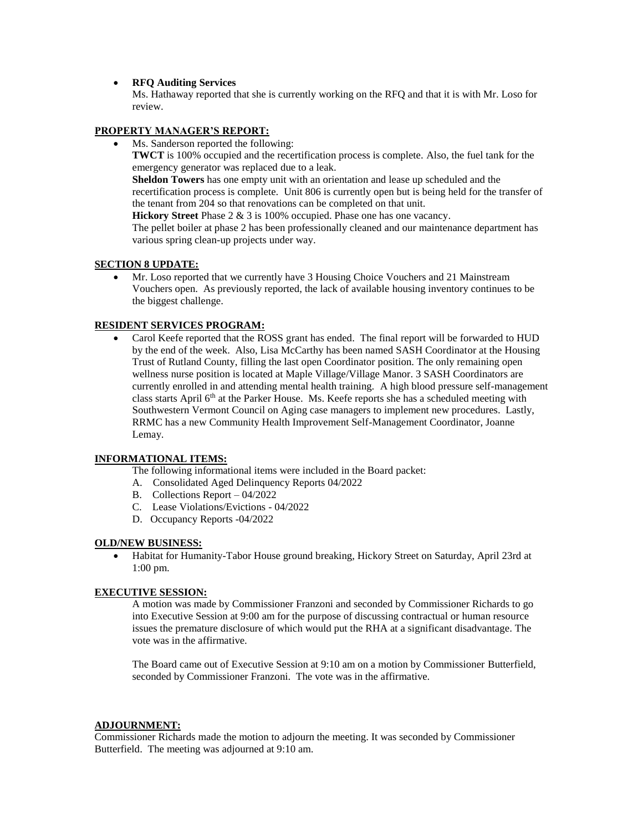#### **RFQ Auditing Services**

Ms. Hathaway reported that she is currently working on the RFQ and that it is with Mr. Loso for review.

#### **PROPERTY MANAGER'S REPORT:**

Ms. Sanderson reported the following:

**TWCT** is 100% occupied and the recertification process is complete. Also, the fuel tank for the emergency generator was replaced due to a leak.

**Sheldon Towers** has one empty unit with an orientation and lease up scheduled and the recertification process is complete. Unit 806 is currently open but is being held for the transfer of the tenant from 204 so that renovations can be completed on that unit.

**Hickory Street** Phase 2 & 3 is 100% occupied. Phase one has one vacancy.

The pellet boiler at phase 2 has been professionally cleaned and our maintenance department has various spring clean-up projects under way.

#### **SECTION 8 UPDATE:**

 Mr. Loso reported that we currently have 3 Housing Choice Vouchers and 21 Mainstream Vouchers open. As previously reported, the lack of available housing inventory continues to be the biggest challenge.

## **RESIDENT SERVICES PROGRAM:**

 Carol Keefe reported that the ROSS grant has ended. The final report will be forwarded to HUD by the end of the week. Also, Lisa McCarthy has been named SASH Coordinator at the Housing Trust of Rutland County, filling the last open Coordinator position. The only remaining open wellness nurse position is located at Maple Village/Village Manor. 3 SASH Coordinators are currently enrolled in and attending mental health training. A high blood pressure self-management class starts April 6<sup>th</sup> at the Parker House. Ms. Keefe reports she has a scheduled meeting with Southwestern Vermont Council on Aging case managers to implement new procedures. Lastly, RRMC has a new Community Health Improvement Self-Management Coordinator, Joanne Lemay.

## **INFORMATIONAL ITEMS:**

The following informational items were included in the Board packet:

- A. Consolidated Aged Delinquency Reports 04/2022
- B. Collections Report 04/2022
- C. Lease Violations/Evictions 04/2022
- D. Occupancy Reports -04/2022

#### **OLD/NEW BUSINESS:**

 Habitat for Humanity-Tabor House ground breaking, Hickory Street on Saturday, April 23rd at 1:00 pm.

#### **EXECUTIVE SESSION:**

A motion was made by Commissioner Franzoni and seconded by Commissioner Richards to go into Executive Session at 9:00 am for the purpose of discussing contractual or human resource issues the premature disclosure of which would put the RHA at a significant disadvantage. The vote was in the affirmative.

The Board came out of Executive Session at 9:10 am on a motion by Commissioner Butterfield, seconded by Commissioner Franzoni. The vote was in the affirmative.

#### **ADJOURNMENT:**

Commissioner Richards made the motion to adjourn the meeting. It was seconded by Commissioner Butterfield. The meeting was adjourned at 9:10 am.